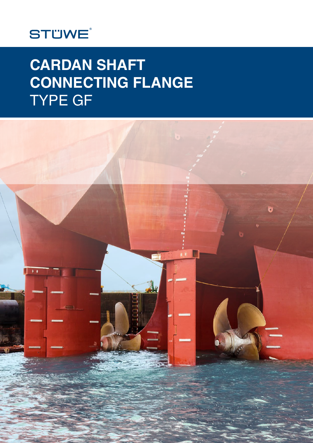

# **CARDAN SHAFT CONNECTING FLANGE** TYPE GF

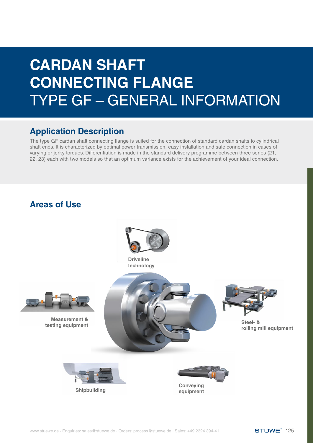# **CARDAN SHAFT CONNECTING FLANGE** TYPE GF – GENERAL INFORMATION

### **Application Description**

The type GF cardan shaft connecting flange is suited for the connection of standard cardan shafts to cylindrical shaft ends. It is characterized by optimal power transmission, easy installation and safe connection in cases of varying or jerky torques. Differentiation is made in the standard delivery programme between three series (21, 22, 23) each with two models so that an optimum variance exists for the achievement of your ideal connection.

#### **Areas of Use**

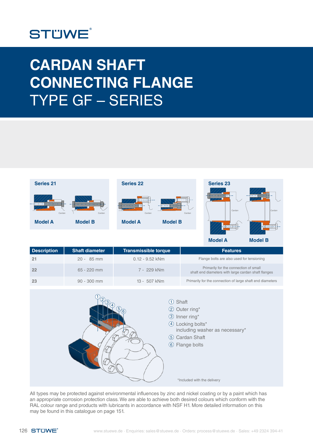

# **CARDAN SHAFT CONNECTING FLANGE** TYPE GF – SERIES



**Model A**

| <b>Model B</b> |  |
|----------------|--|
|                |  |

| <b>Description</b> | <b>Shaft diameter</b> | <b>Transmissible torque</b> | <b>Features</b>                                                                              |
|--------------------|-----------------------|-----------------------------|----------------------------------------------------------------------------------------------|
| $-21$              | $20 - 85$ mm          | $0.12 - 9.52$ kNm           | Flange bolts are also used for tensioning                                                    |
| 22                 | $65 - 220$ mm         | 7 - 229 kNm                 | Primarily for the connection of small<br>shaft end diameters with large cardan shaft flanges |
| -23                | $90 - 300$ mm         | 13 - 507 kNm                | Primarily for the connection of large shaft end diameters                                    |



All types may be protected against environmental influences by zinc and nickel coating or by a paint which has an appropriate corrosion protection class. We are able to achieve both desired colours which conform with the RAL colour range and products with lubricants in accordance with NSF H1. More detailed information on this may be found in this catalogue on page 151.

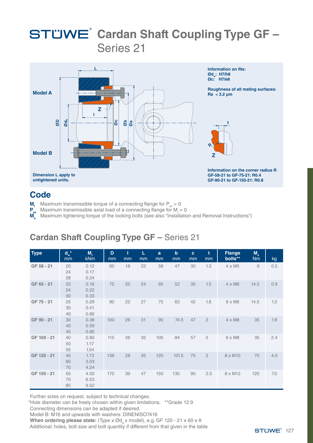## **STÜWE** Cardan Shaft Coupling Type GF -Series 21



#### **Code**

- $M_t$  Maximum transmissible torque of a connecting flange for  $P_{ax} = 0$
- $P_{ax}$  Maximum transmissible axial load of a connecting flange for  $M_{t} = 0$
- $\mathbf{M}^{\sim}_{a}$ Maximum tightening torque of the locking bolts (see also "Installation and Removal Instructions")

### **Cardan Shaft Coupling Type GF –** Series 21

| <b>Type</b> | $d_w^*$<br>mm  | M,<br>kNm            | D<br>mm | ı<br>mm | L<br>mm | a<br>mm | $\mathbf b$<br>mm | $\mathbf{c}$<br>mm | t<br>mm        | <b>Flange</b><br>bolts** | $M_a$<br><b>Nm</b> | kg  |
|-------------|----------------|----------------------|---------|---------|---------|---------|-------------------|--------------------|----------------|--------------------------|--------------------|-----|
| GF 58 - 21  | 20<br>24<br>28 | 0.12<br>0.17<br>0.24 | 60      | 18      | 22      | 58      | 47                | 30                 | 1.3            | 4 x M5                   | $\hbox{ }9$        | 0.5 |
| GF 65 - 21  | 20<br>24<br>30 | 0.16<br>0.22<br>0.33 | 72      | 20      | 24      | 65      | 52                | 35                 | 1.5            | $4 \times M6$            | 14.5               | 0.9 |
| GF 75 - 21  | 25<br>30<br>40 | 0.29<br>0.41<br>0.66 | 80      | 22      | 27      | 75      | 62                | 42                 | 1.8            | 6 x M6                   | 14.5               | 1.2 |
| GF 90 - 21  | 30<br>40<br>45 | 0.38<br>0.59<br>0.80 | 100     | 26      | 31      | 90      | 74.5              | 47                 | $\overline{2}$ | 4 x M8                   | 35                 | 1.8 |
| GF 100 - 21 | 40<br>50<br>55 | 0.80<br>1.17<br>1.54 | 115     | 26      | 32      | 100     | 84                | 57                 | $\sqrt{2}$     | 6 x M8                   | 35                 | 2.4 |
| GF 120 - 21 | 40<br>60<br>70 | 1.73<br>3.03<br>4.24 | 138     | 28      | 35      | 120     | 101.5             | 75                 | $\overline{2}$ | 8 x M10                  | 70                 | 4.0 |
| GF 150 - 21 | 50<br>70<br>85 | 4.00<br>6.53<br>9.52 | 170     | 39      | 47      | 150     | 130               | 90                 | 2.5            | 8 x M12                  | 120                | 7.0 |

Further sizes on request, subject to technical changes.

\*Hole diameter can be freely chosen within given limitations. \*\*Grade 12.9

Connecting dimensions can be adapted if desired.

Model B: M16 and upwards with washers: DINENISO7416

**When ordering please state:** (Type x Ødwx model), e.g. GF 120 - 21 x 60 x A

Additional: holes, bolt size and bolt quantity if different from that given in the table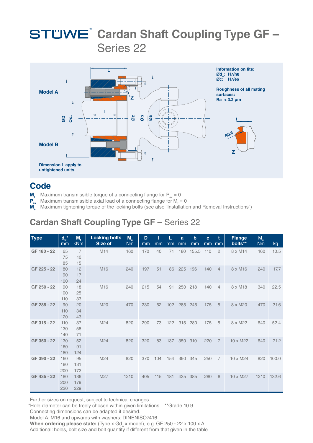## **STÜWE** Cardan Shaft Coupling Type GF -Series 22



#### **Code**

- $M_t$  Maximum transmissible torque of a connecting flange for  $P_{ax} = 0$
- $P_{ax}$  Maximum transmissible axial load of a connecting flange for  $M_{t} = 0$
- **Ma** Maximum tightening torque of the locking bolts (see also "Installation and Removal Instructions")

### **Cardan Shaft Coupling Type GF –** Series 22

| <b>Type</b> | $d_w^{\star}$<br>mm | M,<br>kNm                  | <b>Locking bolts</b><br><b>Size of</b> | $M_a$<br><b>Nm</b> | D<br>mm | mm  | L<br>mm | a<br>mm | $\mathbf b$<br>mm | $\mathbf{c}$<br>mm | t<br>mm        | <b>Flange</b><br>bolts** | $M_{\rm a}$<br><b>Nm</b> | kg    |
|-------------|---------------------|----------------------------|----------------------------------------|--------------------|---------|-----|---------|---------|-------------------|--------------------|----------------|--------------------------|--------------------------|-------|
| GF 180 - 22 | 65<br>75<br>85      | $\overline{7}$<br>10<br>15 | M14                                    | 160                | 170     | 40  | 71      | 180     | 155.5             | 110                | $\mathbf{2}$   | 8 x M14                  | 160                      | 10.5  |
| GF 225 - 22 | 80<br>90<br>100     | 12<br>17<br>24             | M16                                    | 240                | 197     | 51  | 86      | 225     | 196               | 140                | $\overline{4}$ | 8 x M16                  | 240                      | 17.7  |
| GF 250 - 22 | 90<br>100<br>110    | 18<br>25<br>33             | M16                                    | 240                | 215     | 54  | 91      | 250     | 218               | 140                | $\overline{4}$ | 8 x M18                  | 340                      | 22.5  |
| GF 285 - 22 | 90<br>110<br>120    | 20<br>34<br>43             | M20                                    | 470                | 230     | 62  | 102     | 285     | 245               | 175                | 5              | 8 x M20                  | 470                      | 31.6  |
| GF 315 - 22 | 110<br>130<br>140   | 37<br>58<br>71             | M24                                    | 820                | 290     | 73  | 122     | 315     | 280               | 175                | 5              | 8 x M22                  | 640                      | 52.4  |
| GF 350 - 22 | 130<br>160<br>180   | 52<br>91<br>124            | M24                                    | 820                | 320     | 83  | 137     | 350     | 310               | 220                | $\overline{7}$ | 10 x M22                 | 640                      | 71.2  |
| GF 390 - 22 | 160<br>180<br>200   | 95<br>131<br>172           | M24                                    | 820                | 370     | 104 | 154     | 390     | 345               | 250                | $\overline{7}$ | 10 x M24                 | 820                      | 100.0 |
| GF 435 - 22 | 180<br>200<br>220   | 136<br>179<br>229          | M27                                    | 1210               | 405     | 115 | 181     | 435     | 385               | 280                | 8              | 10 x M27                 | 1210                     | 132.6 |

Further sizes on request, subject to technical changes.

\*Hole diameter can be freely chosen within given limitations. \*\*Grade 10.9

Connecting dimensions can be adapted if desired.

Model A: M16 and upwards with washers: DINENISO7416

**When ordering please state:** (Type x Ødwx model), e.g. GF 250 - 22 x 100 x A Additional: holes, bolt size and bolt quantity if different from that given in the table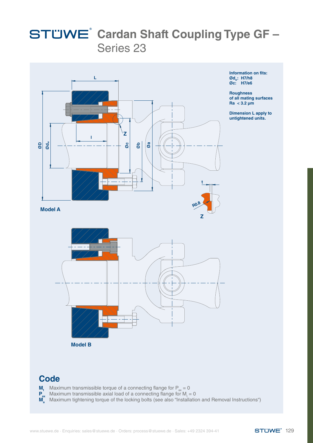## **STÜWE**<sup>*c*</sup> Cardan Shaft Coupling Type GF -Series 23



**Information on fits: Ødw: H7/h8 Øc: H7/e6**

**Roughness of all mating surfaces Ra < 3.2 µm**

**Dimension L apply to untightened units.**



**Model B**

#### **Code**

 $M_t$  Maximum transmissible torque of a connecting flange for  $P_{ax} = 0$ 

 $P_{ax}$  Maximum transmissible axial load of a connecting flange for  $M_t = 0$ 

**Ma** Maximum tightening torque of the locking bolts (see also "Installation and Removal Instructions")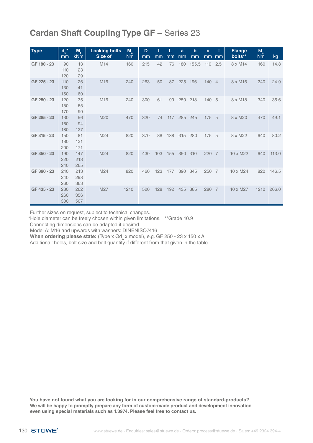### **Cardan Shaft Coupling Type GF –** Series 23

| <b>Type</b> | $d_w^*$<br>mm     | M,<br><b>kNm</b>  | <b>Locking bolts</b><br>Size of | $M_{a}$<br><b>Nm</b> | D<br>mm | mm  | L<br>mm | a<br>mm | b<br>mm | $\mathbf{c}$<br>mm | t<br>mm        | <b>Flange</b><br>bolts** | $M_{\rm a}$<br><b>Nm</b> | kg    |
|-------------|-------------------|-------------------|---------------------------------|----------------------|---------|-----|---------|---------|---------|--------------------|----------------|--------------------------|--------------------------|-------|
| GF 180 - 23 | 90<br>110<br>120  | 13<br>23<br>29    | M14                             | 160                  | 215     | 42  | 76      | 180     | 155.5   | 110                | 2.5            | 8 x M14                  | 160                      | 14.8  |
| GF 225 - 23 | 110<br>130<br>150 | 26<br>41<br>60    | M16                             | 240                  | 263     | 50  | 87      | 225     | 196     | 140 4              |                | 8 x M16                  | 240                      | 24.9  |
| GF 250 - 23 | 120<br>150<br>170 | 35<br>65<br>90    | M16                             | 240                  | 300     | 61  | 99      | 250     | 218     | 140 5              |                | 8 x M18                  | 340                      | 35.6  |
| GF 285 - 23 | 130<br>160<br>180 | 56<br>94<br>127   | M20                             | 470                  | 320     | 74  | 117     | 285     | 245     | 175                | 5              | 8 x M20                  | 470                      | 49.1  |
| GF 315 - 23 | 150<br>180<br>200 | 81<br>131<br>171  | M24                             | 820                  | 370     | 88  | 138     | 315     | 280     | 175                | 5              | 8 x M22                  | 640                      | 80.2  |
| GF 350 - 23 | 190<br>220<br>240 | 147<br>213<br>265 | M24                             | 820                  | 430     | 103 | 155     | 350     | 310     | 220                | $\overline{7}$ | 10 x M22                 | 640                      | 113.0 |
| GF 390 - 23 | 210<br>240<br>260 | 213<br>298<br>363 | M24                             | 820                  | 460     | 123 | 177     | 390     | 345     | 250                | $\overline{7}$ | 10 x M24                 | 820                      | 146.5 |
| GF 435 - 23 | 230<br>260<br>300 | 262<br>356<br>507 | M27                             | 1210                 | 520     | 128 | 192     | 435     | 385     | 280                | $\overline{7}$ | 10 x M27                 | 1210                     | 206.0 |

Further sizes on request, subject to technical changes.

\*Hole diameter can be freely chosen within given limitations. \*\*Grade 10.9

Connecting dimensions can be adapted if desired.

Model A: M16 and upwards with washers: DINENISO7416

**When ordering please state:** (Type x Ødwx model), e.g. GF 250 - 23 x 150 x A

Additional: holes, bolt size and bolt quantity if different from that given in the table

**You have not found what you are looking for in our comprehensive range of standard-products? We will be happy to promptly prepare any form of custom-made product and development innovation even using special materials such as 1.3974. Please feel free to contact us.**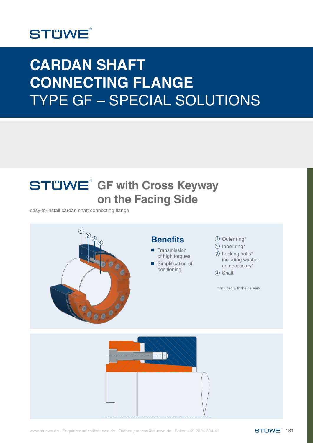

# **CARDAN SHAFT CONNECTING FLANGE** TYPE GF – SPECIAL SOLUTIONS

### **STÜWE** GF with Cross Keyway **on the Facing Side**

easy-to-install cardan shaft connecting flange